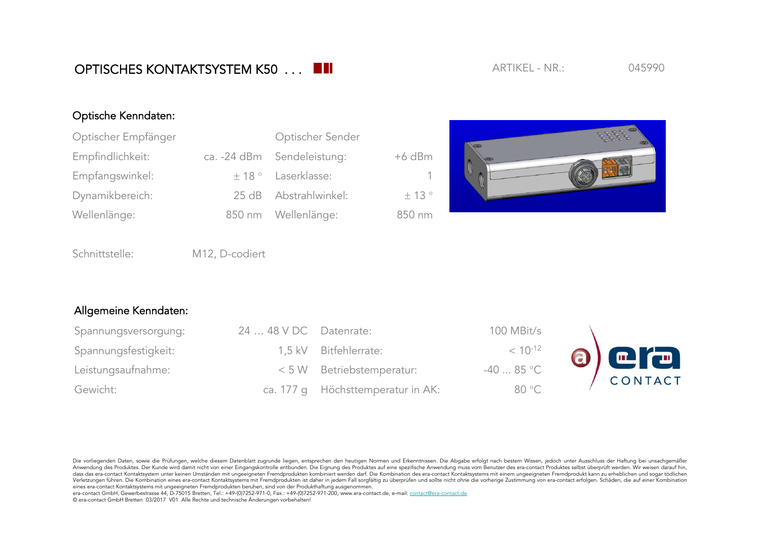Die vorliegenden Daten, sowie die Prüfungen, welche diesem Datenblatt zugrunde liegen, entsprechen den heutigen Normen und Erkenntnissen. Die Abgabe erfolgt nach bestem Wissen, jedoch unter Ausschluss der Haftung bei unsac Anwendung des Produktes. Der Kunde wird damit nicht von einer Eingangskontrolle entbunden. Die Eignung des Produktes auf eine spezifische Anwendung muss vom Benutzer des era-contact Produktes selbst überprüft werden. Wir w - and a statement when the statement of the matter of the matter of the matter of the statement of the statement of the statement of the statement of the statement of the statement of the statement of the statement of the Verletzungen führen. Die Kombination eines era-contact Kontaktsystems mit Fremdprodukten ist daher in jedem Fall sorgfältig zu überprüfen und sollte nicht ohne die vorherige Zustimmung von era-contact erfolgen. Schäden, di eines era-contact Kontaktsystems mit ungeeigneten Fremdprodukten beruhen, sind von der Produkthaftung ausgenommen.

era-contact GmbH, Gewerbestrasse 44, D-75015 Bretten, Tel.: +49-(0)7252-971-0, Fax.: +49-(0)7252-971-200, www.era-contact.de, e-mail: contact@era-contact.de © era-contact GmbH Bretten 03/2017 V01 Alle Rechte und technische Änderungen vorbehalten!

## Optische Kenndaten:

| Optischer Empfänger | Optischer Sender           |          |  |
|---------------------|----------------------------|----------|--|
| Empfindlichkeit:    | ca. -24 dBm Sendeleistung: | $+6$ dBm |  |
| Empfangswinkel:     | $\pm$ 18 ° Laserklasse:    | -1.      |  |
| Dynamikbereich:     | 25 dB Abstrahlwinkel:      | ± 13°    |  |
| Wellenlänge:        | 850 nm Wellenlänge:        | 850 nm   |  |



Schnittstelle: M12, D-codiert

## Allgemeine Kenndaten:

| Spannungsversorgung: | $2448$ VDC Datenrate: |                                   | 100 MBit/s   |           |
|----------------------|-----------------------|-----------------------------------|--------------|-----------|
| Spannungsfestigkeit: |                       | 1,5 kV Bitfehlerrate:             | $< 10^{-12}$ |           |
| Leistungsaufnahme:   |                       | < 5 W Betriebstemperatur:         | $-4085$ °C   | 8) CITACT |
| Gewicht:             |                       | ca. 177 g Höchsttemperatur in AK: | 80 °C        |           |

## OPTISCHES KONTAKTSYSTEM K50 . . . **ARTIKEL - NR.:** 045990 ARTIKFL - NR.: